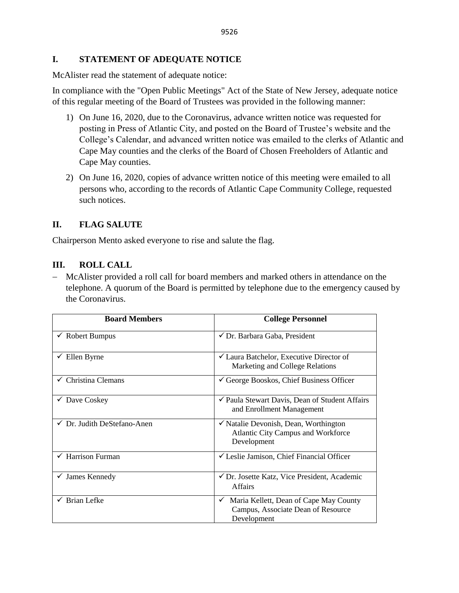## **I. STATEMENT OF ADEQUATE NOTICE**

McAlister read the statement of adequate notice:

In compliance with the "Open Public Meetings" Act of the State of New Jersey, adequate notice of this regular meeting of the Board of Trustees was provided in the following manner:

- 1) On June 16, 2020, due to the Coronavirus, advance written notice was requested for posting in Press of Atlantic City, and posted on the Board of Trustee's website and the College's Calendar, and advanced written notice was emailed to the clerks of Atlantic and Cape May counties and the clerks of the Board of Chosen Freeholders of Atlantic and Cape May counties.
- 2) On June 16, 2020, copies of advance written notice of this meeting were emailed to all persons who, according to the records of Atlantic Cape Community College, requested such notices.

# **II. FLAG SALUTE**

Chairperson Mento asked everyone to rise and salute the flag.

## **III. ROLL CALL**

− McAlister provided a roll call for board members and marked others in attendance on the telephone. A quorum of the Board is permitted by telephone due to the emergency caused by the Coronavirus.

| <b>Board Members</b>                   | <b>College Personnel</b>                                                                                     |  |
|----------------------------------------|--------------------------------------------------------------------------------------------------------------|--|
| $\checkmark$ Robert Bumpus             | $\checkmark$ Dr. Barbara Gaba, President                                                                     |  |
| Ellen Byrne                            | $\checkmark$ Laura Batchelor, Executive Director of<br>Marketing and College Relations                       |  |
| $\checkmark$ Christina Clemans         | $\checkmark$ George Booskos, Chief Business Officer                                                          |  |
| Dave Coskey                            | ✔ Paula Stewart Davis, Dean of Student Affairs<br>and Enrollment Management                                  |  |
| $\checkmark$ Dr. Judith DeStefano-Anen | $\checkmark$ Natalie Devonish, Dean, Worthington<br><b>Atlantic City Campus and Workforce</b><br>Development |  |
| Harrison Furman                        | $\checkmark$ Leslie Jamison, Chief Financial Officer                                                         |  |
| James Kennedy<br>$\checkmark$          | ✔ Dr. Josette Katz, Vice President, Academic<br><b>Affairs</b>                                               |  |
| $\checkmark$ Brian Lefke               | Maria Kellett, Dean of Cape May County<br>$\checkmark$<br>Campus, Associate Dean of Resource<br>Development  |  |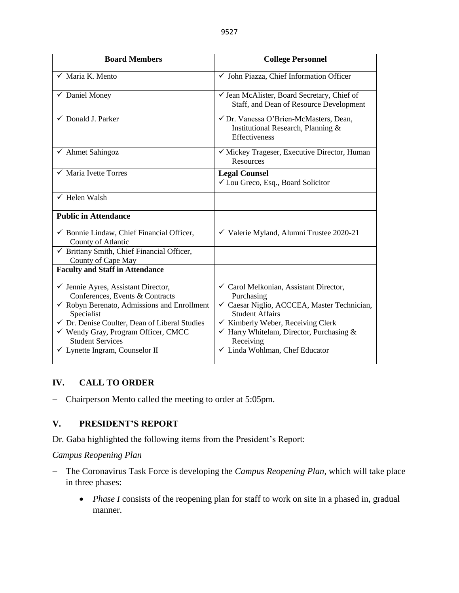| <b>Board Members</b>                                                                                                                                                                                                                                                                                                                 | <b>College Personnel</b>                                                                                                                                                                                                                                                            |  |
|--------------------------------------------------------------------------------------------------------------------------------------------------------------------------------------------------------------------------------------------------------------------------------------------------------------------------------------|-------------------------------------------------------------------------------------------------------------------------------------------------------------------------------------------------------------------------------------------------------------------------------------|--|
| $\checkmark$ Maria K. Mento                                                                                                                                                                                                                                                                                                          | √ John Piazza, Chief Information Officer                                                                                                                                                                                                                                            |  |
| $\checkmark$ Daniel Money                                                                                                                                                                                                                                                                                                            | √ Jean McAlister, Board Secretary, Chief of<br>Staff, and Dean of Resource Development                                                                                                                                                                                              |  |
| $\checkmark$ Donald J. Parker                                                                                                                                                                                                                                                                                                        | √ Dr. Vanessa O'Brien-McMasters, Dean,<br>Institutional Research, Planning &<br>Effectiveness                                                                                                                                                                                       |  |
| $\checkmark$ Ahmet Sahingoz                                                                                                                                                                                                                                                                                                          | √ Mickey Trageser, Executive Director, Human<br><b>Resources</b>                                                                                                                                                                                                                    |  |
| $\checkmark$ Maria Ivette Torres                                                                                                                                                                                                                                                                                                     | <b>Legal Counsel</b><br>✓ Lou Greco, Esq., Board Solicitor                                                                                                                                                                                                                          |  |
| $\checkmark$ Helen Walsh                                                                                                                                                                                                                                                                                                             |                                                                                                                                                                                                                                                                                     |  |
| <b>Public in Attendance</b>                                                                                                                                                                                                                                                                                                          |                                                                                                                                                                                                                                                                                     |  |
| $\checkmark$ Bonnie Lindaw, Chief Financial Officer,<br>County of Atlantic                                                                                                                                                                                                                                                           | √ Valerie Myland, Alumni Trustee 2020-21                                                                                                                                                                                                                                            |  |
| $\checkmark$ Brittany Smith, Chief Financial Officer,<br>County of Cape May                                                                                                                                                                                                                                                          |                                                                                                                                                                                                                                                                                     |  |
| <b>Faculty and Staff in Attendance</b>                                                                                                                                                                                                                                                                                               |                                                                                                                                                                                                                                                                                     |  |
| $\checkmark$ Jennie Ayres, Assistant Director,<br>Conferences, Events & Contracts<br>$\checkmark$ Robyn Berenato, Admissions and Enrollment<br>Specialist<br>$\checkmark$ Dr. Denise Coulter, Dean of Liberal Studies<br>√ Wendy Gray, Program Officer, CMCC<br><b>Student Services</b><br>$\checkmark$ Lynette Ingram, Counselor II | ✓ Carol Melkonian, Assistant Director,<br>Purchasing<br>√ Caesar Niglio, ACCCEA, Master Technician,<br><b>Student Affairs</b><br>$\checkmark$ Kimberly Weber, Receiving Clerk<br>$\checkmark$ Harry Whitelam, Director, Purchasing &<br>Receiving<br>✓ Linda Wohlman, Chef Educator |  |

# **IV. CALL TO ORDER**

− Chairperson Mento called the meeting to order at 5:05pm.

# **V. PRESIDENT'S REPORT**

Dr. Gaba highlighted the following items from the President's Report:

### *Campus Reopening Plan*

- − The Coronavirus Task Force is developing the *Campus Reopening Plan*, which will take place in three phases:
	- *Phase I* consists of the reopening plan for staff to work on site in a phased in, gradual manner.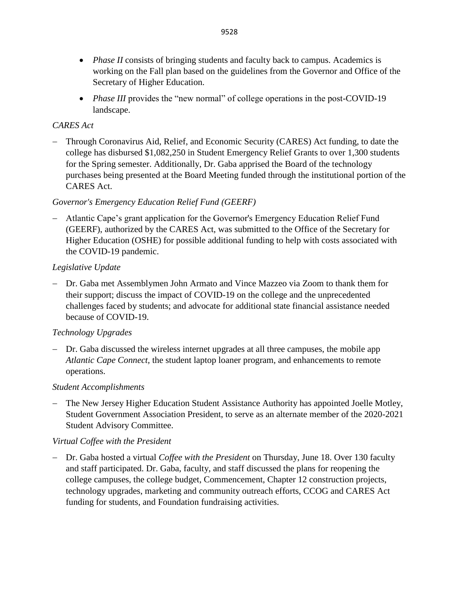- *Phase II* consists of bringing students and faculty back to campus. Academics is working on the Fall plan based on the guidelines from the Governor and Office of the Secretary of Higher Education.
- *Phase III* provides the "new normal" of college operations in the post-COVID-19 landscape.

# *CARES Act*

− Through Coronavirus Aid, Relief, and Economic Security (CARES) Act funding, to date the college has disbursed \$1,082,250 in Student Emergency Relief Grants to over 1,300 students for the Spring semester. Additionally, Dr. Gaba apprised the Board of the technology purchases being presented at the Board Meeting funded through the institutional portion of the CARES Act.

# *Governor's Emergency Education Relief Fund (GEERF)*

− Atlantic Cape's grant application for the Governor's Emergency Education Relief Fund (GEERF), authorized by the CARES Act, was submitted to the Office of the Secretary for Higher Education (OSHE) for possible additional funding to help with costs associated with the COVID-19 pandemic.

# *Legislative Update*

− Dr. Gaba met Assemblymen John Armato and Vince Mazzeo via Zoom to thank them for their support; discuss the impact of COVID-19 on the college and the unprecedented challenges faced by students; and advocate for additional state financial assistance needed because of COVID-19.

# *Technology Upgrades*

− Dr. Gaba discussed the wireless internet upgrades at all three campuses, the mobile app *Atlantic Cape Connect,* the student laptop loaner program*,* and enhancements to remote operations.

# *Student Accomplishments*

− The New Jersey Higher Education Student Assistance Authority has appointed Joelle Motley, Student Government Association President, to serve as an alternate member of the 2020-2021 Student Advisory Committee.

# *Virtual Coffee with the President*

− Dr. Gaba hosted a virtual *Coffee with the President* on Thursday, June 18. Over 130 faculty and staff participated. Dr. Gaba, faculty, and staff discussed the plans for reopening the college campuses, the college budget, Commencement, Chapter 12 construction projects, technology upgrades, marketing and community outreach efforts, CCOG and CARES Act funding for students, and Foundation fundraising activities.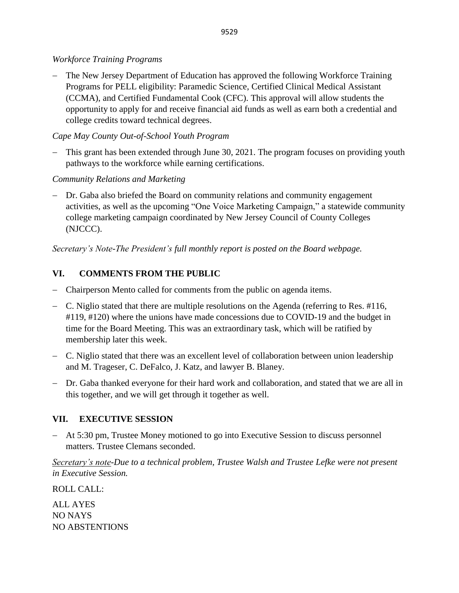# *Workforce Training Programs*

− The New Jersey Department of Education has approved the following Workforce Training Programs for PELL eligibility: Paramedic Science, Certified Clinical Medical Assistant (CCMA), and Certified Fundamental Cook (CFC). This approval will allow students the opportunity to apply for and receive financial aid funds as well as earn both a credential and college credits toward technical degrees.

# *Cape May County Out-of-School Youth Program*

− This grant has been extended through June 30, 2021. The program focuses on providing youth pathways to the workforce while earning certifications.

# *Community Relations and Marketing*

− Dr. Gaba also briefed the Board on community relations and community engagement activities, as well as the upcoming "One Voice Marketing Campaign," a statewide community college marketing campaign coordinated by New Jersey Council of County Colleges (NJCCC).

*Secretary's Note-The President's full monthly report is posted on the Board webpage.*

# **VI. COMMENTS FROM THE PUBLIC**

- − Chairperson Mento called for comments from the public on agenda items.
- − C. Niglio stated that there are multiple resolutions on the Agenda (referring to Res. #116, #119, #120) where the unions have made concessions due to COVID-19 and the budget in time for the Board Meeting. This was an extraordinary task, which will be ratified by membership later this week.
- − C. Niglio stated that there was an excellent level of collaboration between union leadership and M. Trageser, C. DeFalco, J. Katz, and lawyer B. Blaney.
- − Dr. Gaba thanked everyone for their hard work and collaboration, and stated that we are all in this together, and we will get through it together as well.

# **VII. EXECUTIVE SESSION**

− At 5:30 pm, Trustee Money motioned to go into Executive Session to discuss personnel matters. Trustee Clemans seconded.

*Secretary's note-Due to a technical problem, Trustee Walsh and Trustee Lefke were not present in Executive Session.*

ROLL CALL:

ALL AYES NO NAYS NO ABSTENTIONS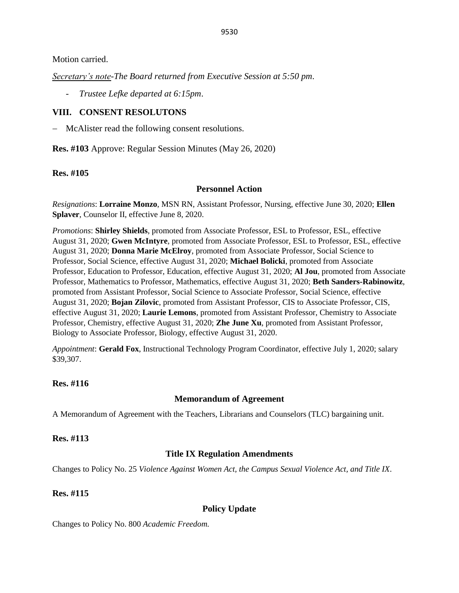Motion carried.

*Secretary's note-The Board returned from Executive Session at 5:50 pm*.

- *Trustee Lefke departed at 6:15pm*.

# **VIII. CONSENT RESOLUTONS**

− McAlister read the following consent resolutions.

**Res. #103** Approve: Regular Session Minutes (May 26, 2020)

**Res. #105**

### **Personnel Action**

*Resignations*: **Lorraine Monzo**, MSN RN, Assistant Professor, Nursing, effective June 30, 2020; **Ellen Splaver**, Counselor II, effective June 8, 2020.

*Promotions*: **Shirley Shields**, promoted from Associate Professor, ESL to Professor, ESL, effective August 31, 2020; **Gwen McIntyre**, promoted from Associate Professor, ESL to Professor, ESL, effective August 31, 2020; **Donna Marie McElroy**, promoted from Associate Professor, Social Science to Professor, Social Science, effective August 31, 2020; **Michael Bolicki**, promoted from Associate Professor, Education to Professor, Education, effective August 31, 2020; **Al Jou**, promoted from Associate Professor, Mathematics to Professor, Mathematics, effective August 31, 2020; **Beth Sanders-Rabinowitz**, promoted from Assistant Professor, Social Science to Associate Professor, Social Science, effective August 31, 2020; **Bojan Zilovic**, promoted from Assistant Professor, CIS to Associate Professor, CIS, effective August 31, 2020; **Laurie Lemons**, promoted from Assistant Professor, Chemistry to Associate Professor, Chemistry, effective August 31, 2020; **Zhe June Xu**, promoted from Assistant Professor, Biology to Associate Professor, Biology, effective August 31, 2020.

*Appointment*: **Gerald Fox**, Instructional Technology Program Coordinator, effective July 1, 2020; salary \$39,307.

# **Res. #116**

### **Memorandum of Agreement**

A Memorandum of Agreement with the Teachers, Librarians and Counselors (TLC) bargaining unit.

### **Res. #113**

### **Title IX Regulation Amendments**

Changes to Policy No. 25 *Violence Against Women Act, the Campus Sexual Violence Act, and Title IX*.

### **Res. #115**

# **Policy Update**

Changes to Policy No. 800 *Academic Freedom.*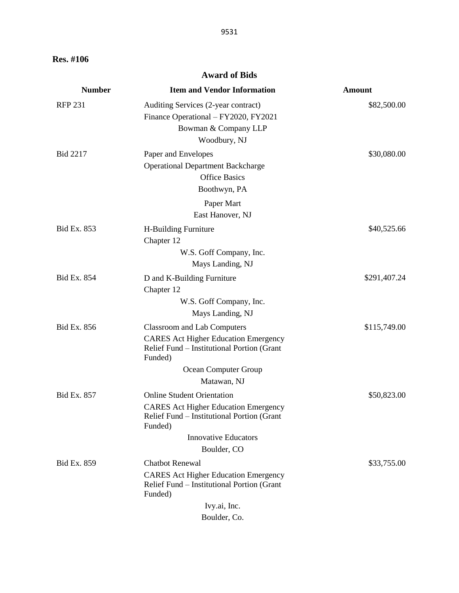**Res. #106**

## **Award of Bids**

| Auditing Services (2-year contract)<br>Finance Operational - FY2020, FY2021<br>Bowman & Company LLP<br>Woodbury, NJ<br>Paper and Envelopes<br><b>Operational Department Backcharge</b> | \$82,500.00<br>\$30,080.00                                                                                                                                    |
|----------------------------------------------------------------------------------------------------------------------------------------------------------------------------------------|---------------------------------------------------------------------------------------------------------------------------------------------------------------|
|                                                                                                                                                                                        |                                                                                                                                                               |
| Boothwyn, PA                                                                                                                                                                           |                                                                                                                                                               |
| East Hanover, NJ                                                                                                                                                                       |                                                                                                                                                               |
| H-Building Furniture<br>Chapter 12                                                                                                                                                     | \$40,525.66                                                                                                                                                   |
|                                                                                                                                                                                        |                                                                                                                                                               |
| D and K-Building Furniture                                                                                                                                                             | \$291,407.24                                                                                                                                                  |
| W.S. Goff Company, Inc.<br>Mays Landing, NJ                                                                                                                                            |                                                                                                                                                               |
| <b>Classroom and Lab Computers</b><br><b>CARES</b> Act Higher Education Emergency<br>Relief Fund - Institutional Portion (Grant<br>Funded)                                             | \$115,749.00                                                                                                                                                  |
| Ocean Computer Group<br>Matawan, NJ                                                                                                                                                    |                                                                                                                                                               |
| <b>Online Student Orientation</b><br><b>CARES</b> Act Higher Education Emergency<br>Relief Fund – Institutional Portion (Grant<br>Funded)                                              | \$50,823.00                                                                                                                                                   |
|                                                                                                                                                                                        |                                                                                                                                                               |
| <b>Chatbot Renewal</b><br><b>CARES Act Higher Education Emergency</b><br>Relief Fund - Institutional Portion (Grant<br>Funded)<br>Ivy.ai, Inc.                                         | \$33,755.00                                                                                                                                                   |
|                                                                                                                                                                                        | <b>Office Basics</b><br>Paper Mart<br>W.S. Goff Company, Inc.<br>Mays Landing, NJ<br>Chapter 12<br><b>Innovative Educators</b><br>Boulder, CO<br>Boulder, Co. |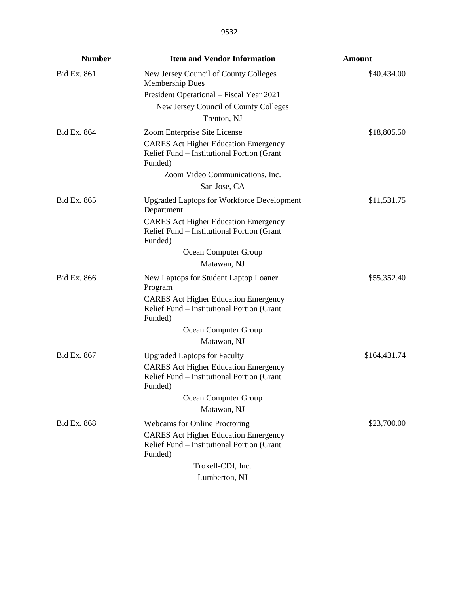| <b>Number</b>      | <b>Item and Vendor Information</b>                                                                   | <b>Amount</b> |
|--------------------|------------------------------------------------------------------------------------------------------|---------------|
| Bid Ex. 861        | New Jersey Council of County Colleges<br><b>Membership Dues</b>                                      | \$40,434.00   |
|                    | President Operational - Fiscal Year 2021                                                             |               |
|                    | New Jersey Council of County Colleges                                                                |               |
|                    | Trenton, NJ                                                                                          |               |
| Bid Ex. 864        | Zoom Enterprise Site License                                                                         | \$18,805.50   |
|                    | <b>CARES Act Higher Education Emergency</b><br>Relief Fund – Institutional Portion (Grant<br>Funded) |               |
|                    | Zoom Video Communications, Inc.                                                                      |               |
|                    | San Jose, CA                                                                                         |               |
| Bid Ex. 865        | <b>Upgraded Laptops for Workforce Development</b><br>Department                                      | \$11,531.75   |
|                    | <b>CARES</b> Act Higher Education Emergency<br>Relief Fund – Institutional Portion (Grant<br>Funded) |               |
|                    | Ocean Computer Group                                                                                 |               |
|                    | Matawan, NJ                                                                                          |               |
| <b>Bid Ex. 866</b> | New Laptops for Student Laptop Loaner<br>Program                                                     | \$55,352.40   |
|                    | <b>CARES</b> Act Higher Education Emergency<br>Relief Fund - Institutional Portion (Grant<br>Funded) |               |
|                    | Ocean Computer Group                                                                                 |               |
|                    | Matawan, NJ                                                                                          |               |
| Bid Ex. 867        | <b>Upgraded Laptops for Faculty</b>                                                                  | \$164,431.74  |
|                    | <b>CARES Act Higher Education Emergency</b><br>Relief Fund - Institutional Portion (Grant<br>Funded) |               |
|                    | Ocean Computer Group                                                                                 |               |
|                    | Matawan, NJ                                                                                          |               |
| Bid Ex. 868        | <b>Webcams for Online Proctoring</b>                                                                 | \$23,700.00   |
|                    | <b>CARES</b> Act Higher Education Emergency<br>Relief Fund - Institutional Portion (Grant<br>Funded) |               |
|                    | Troxell-CDI, Inc.                                                                                    |               |
|                    | Lumberton, NJ                                                                                        |               |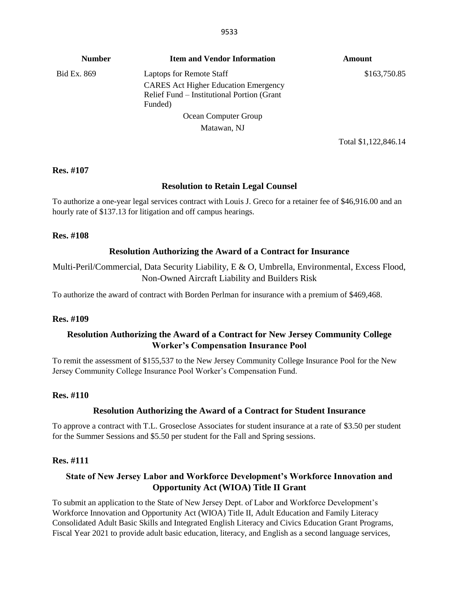| <b>Number</b> | <b>Item and Vendor Information</b>                                                                   | Amount       |
|---------------|------------------------------------------------------------------------------------------------------|--------------|
| Bid Ex. 869   | <b>Laptops for Remote Staff</b>                                                                      | \$163,750.85 |
|               | <b>CARES</b> Act Higher Education Emergency<br>Relief Fund – Institutional Portion (Grant<br>Funded) |              |
|               | Ocean Computer Group                                                                                 |              |
| Matawan, NJ   |                                                                                                      |              |
|               | Total \$1,122,846.14                                                                                 |              |

#### **Res. #107**

### **Resolution to Retain Legal Counsel**

To authorize a one-year legal services contract with Louis J. Greco for a retainer fee of \$46,916.00 and an hourly rate of \$137.13 for litigation and off campus hearings.

#### **Res. #108**

### **Resolution Authorizing the Award of a Contract for Insurance**

Multi-Peril/Commercial, Data Security Liability, E & O, Umbrella, Environmental, Excess Flood, Non-Owned Aircraft Liability and Builders Risk

To authorize the award of contract with Borden Perlman for insurance with a premium of \$469,468.

#### **Res. #109**

## **Resolution Authorizing the Award of a Contract for New Jersey Community College Worker's Compensation Insurance Pool**

To remit the assessment of \$155,537 to the New Jersey Community College Insurance Pool for the New Jersey Community College Insurance Pool Worker's Compensation Fund.

#### **Res. #110**

### **Resolution Authorizing the Award of a Contract for Student Insurance**

To approve a contract with T.L. Groseclose Associates for student insurance at a rate of \$3.50 per student for the Summer Sessions and \$5.50 per student for the Fall and Spring sessions.

#### **Res. #111**

# **State of New Jersey Labor and Workforce Development's Workforce Innovation and Opportunity Act (WIOA) Title II Grant**

To submit an application to the State of New Jersey Dept. of Labor and Workforce Development's Workforce Innovation and Opportunity Act (WIOA) Title II, Adult Education and Family Literacy Consolidated Adult Basic Skills and Integrated English Literacy and Civics Education Grant Programs, Fiscal Year 2021 to provide adult basic education, literacy, and English as a second language services,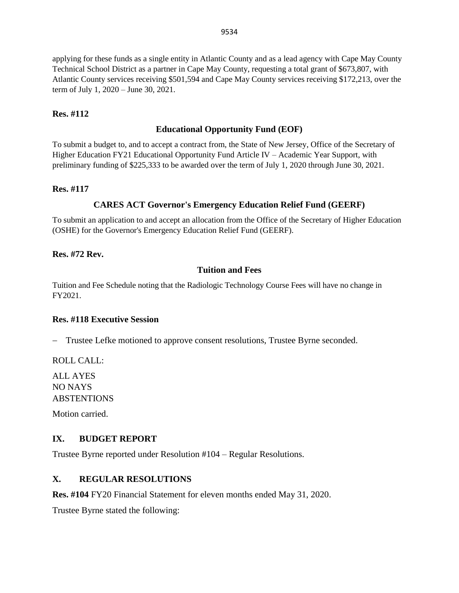applying for these funds as a single entity in Atlantic County and as a lead agency with Cape May County Technical School District as a partner in Cape May County, requesting a total grant of \$673,807, with Atlantic County services receiving \$501,594 and Cape May County services receiving \$172,213, over the term of July 1, 2020 – June 30, 2021.

#### **Res. #112**

#### **Educational Opportunity Fund (EOF)**

To submit a budget to, and to accept a contract from, the State of New Jersey, Office of the Secretary of Higher Education FY21 Educational Opportunity Fund Article IV – Academic Year Support, with preliminary funding of \$225,333 to be awarded over the term of July 1, 2020 through June 30, 2021.

#### **Res. #117**

### **CARES ACT Governor's Emergency Education Relief Fund (GEERF)**

To submit an application to and accept an allocation from the Office of the Secretary of Higher Education (OSHE) for the Governor's Emergency Education Relief Fund (GEERF).

#### **Res. #72 Rev.**

#### **Tuition and Fees**

Tuition and Fee Schedule noting that the Radiologic Technology Course Fees will have no change in FY2021.

#### **Res. #118 Executive Session**

− Trustee Lefke motioned to approve consent resolutions, Trustee Byrne seconded.

ROLL CALL:

ALL AYES NO NAYS ABSTENTIONS

Motion carried.

### **IX. BUDGET REPORT**

Trustee Byrne reported under Resolution #104 – Regular Resolutions.

## **X. REGULAR RESOLUTIONS**

**Res. #104** FY20 Financial Statement for eleven months ended May 31, 2020.

Trustee Byrne stated the following: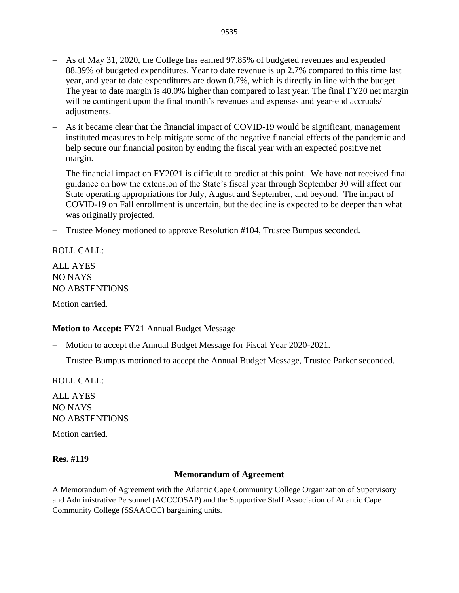- − As of May 31, 2020, the College has earned 97.85% of budgeted revenues and expended 88.39% of budgeted expenditures. Year to date revenue is up 2.7% compared to this time last year, and year to date expenditures are down 0.7%, which is directly in line with the budget. The year to date margin is 40.0% higher than compared to last year. The final FY20 net margin will be contingent upon the final month's revenues and expenses and year-end accruals/ adjustments.
- − As it became clear that the financial impact of COVID-19 would be significant, management instituted measures to help mitigate some of the negative financial effects of the pandemic and help secure our financial positon by ending the fiscal year with an expected positive net margin.
- The financial impact on FY2021 is difficult to predict at this point. We have not received final guidance on how the extension of the State's fiscal year through September 30 will affect our State operating appropriations for July, August and September, and beyond. The impact of COVID-19 on Fall enrollment is uncertain, but the decline is expected to be deeper than what was originally projected.
- − Trustee Money motioned to approve Resolution #104, Trustee Bumpus seconded.

# ROLL CALL:

ALL AYES NO NAYS NO ABSTENTIONS

Motion carried.

### **Motion to Accept:** FY21 Annual Budget Message

- − Motion to accept the Annual Budget Message for Fiscal Year 2020-2021.
- − Trustee Bumpus motioned to accept the Annual Budget Message, Trustee Parker seconded.

ROLL CALL:

ALL AYES NO NAYS NO ABSTENTIONS

Motion carried.

### **Res. #119**

#### **Memorandum of Agreement**

A Memorandum of Agreement with the Atlantic Cape Community College Organization of Supervisory and Administrative Personnel (ACCCOSAP) and the Supportive Staff Association of Atlantic Cape Community College (SSAACCC) bargaining units.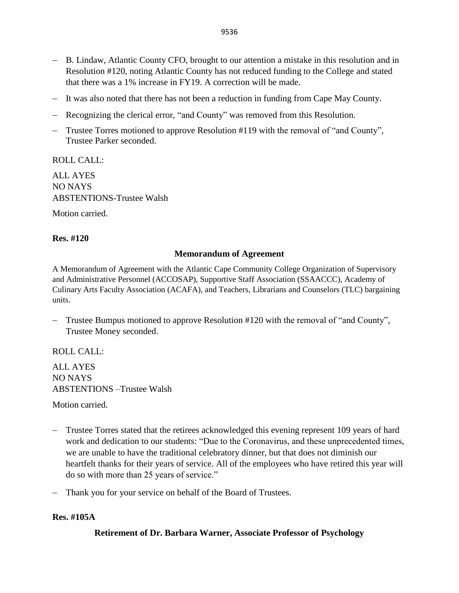- − B. Lindaw, Atlantic County CFO, brought to our attention a mistake in this resolution and in Resolution #120, noting Atlantic County has not reduced funding to the College and stated that there was a 1% increase in FY19. A correction will be made.
- − It was also noted that there has not been a reduction in funding from Cape May County.
- − Recognizing the clerical error, "and County" was removed from this Resolution.
- − Trustee Torres motioned to approve Resolution #119 with the removal of "and County", Trustee Parker seconded.

ROLL CALL:

ALL AYES NO NAYS ABSTENTIONS-Trustee Walsh

Motion carried.

# **Res. #120**

# **Memorandum of Agreement**

A Memorandum of Agreement with the Atlantic Cape Community College Organization of Supervisory and Administrative Personnel (ACCOSAP), Supportive Staff Association (SSAACCC), Academy of Culinary Arts Faculty Association (ACAFA), and Teachers, Librarians and Counselors (TLC) bargaining units.

− Trustee Bumpus motioned to approve Resolution #120 with the removal of "and County", Trustee Money seconded.

ROLL CALL:

ALL AYES NO NAYS ABSTENTIONS –Trustee Walsh

Motion carried.

- − Trustee Torres stated that the retirees acknowledged this evening represent 109 years of hard work and dedication to our students: "Due to the Coronavirus, and these unprecedented times, we are unable to have the traditional celebratory dinner, but that does not diminish our heartfelt thanks for their years of service. All of the employees who have retired this year will do so with more than 25 years of service."
- − Thank you for your service on behalf of the Board of Trustees.

# **Res. #105A**

**Retirement of Dr. Barbara Warner, Associate Professor of Psychology**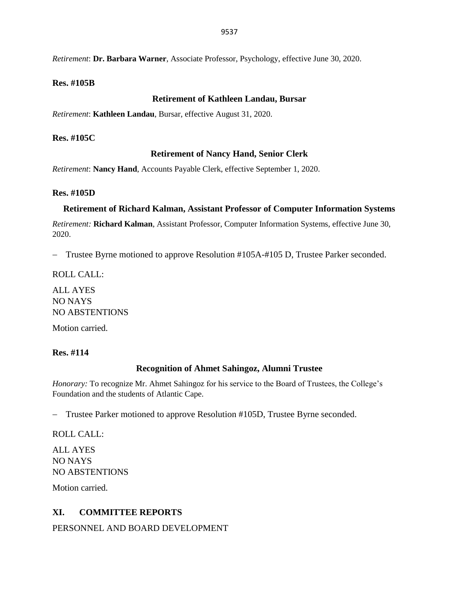*Retirement*: **Dr. Barbara Warner**, Associate Professor, Psychology, effective June 30, 2020.

### **Res. #105B**

#### **Retirement of Kathleen Landau, Bursar**

*Retirement*: **Kathleen Landau**, Bursar, effective August 31, 2020.

#### **Res. #105C**

### **Retirement of Nancy Hand, Senior Clerk**

*Retirement*: **Nancy Hand**, Accounts Payable Clerk, effective September 1, 2020.

#### **Res. #105D**

#### **Retirement of Richard Kalman, Assistant Professor of Computer Information Systems**

*Retirement:* **Richard Kalman**, Assistant Professor, Computer Information Systems, effective June 30, 2020.

− Trustee Byrne motioned to approve Resolution #105A-#105 D, Trustee Parker seconded.

ROLL CALL:

ALL AYES NO NAYS NO ABSTENTIONS

Motion carried.

### **Res. #114**

### **Recognition of Ahmet Sahingoz, Alumni Trustee**

*Honorary:* To recognize Mr. Ahmet Sahingoz for his service to the Board of Trustees, the College's Foundation and the students of Atlantic Cape.

− Trustee Parker motioned to approve Resolution #105D, Trustee Byrne seconded.

ROLL CALL:

ALL AYES NO NAYS NO ABSTENTIONS

Motion carried.

# **XI. COMMITTEE REPORTS**

PERSONNEL AND BOARD DEVELOPMENT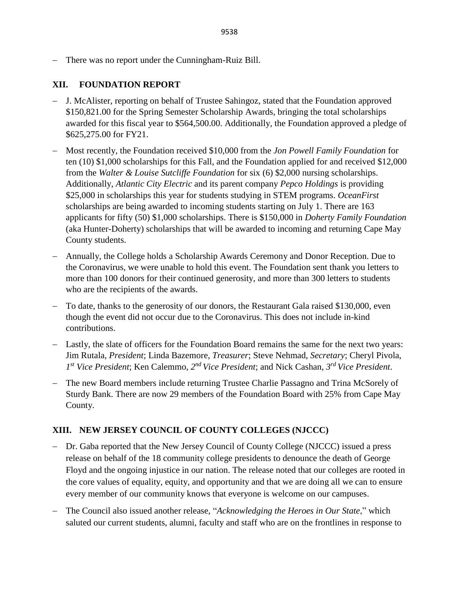− There was no report under the Cunningham-Ruiz Bill.

# **XII. FOUNDATION REPORT**

- − J. McAlister, reporting on behalf of Trustee Sahingoz, stated that the Foundation approved \$150,821.00 for the Spring Semester Scholarship Awards, bringing the total scholarships awarded for this fiscal year to \$564,500.00. Additionally, the Foundation approved a pledge of \$625,275.00 for FY21.
- − Most recently, the Foundation received \$10,000 from the *Jon Powell Family Foundation* for ten (10) \$1,000 scholarships for this Fall, and the Foundation applied for and received \$12,000 from the *Walter & Louise Sutcliffe Foundation* for six (6) \$2,000 nursing scholarships. Additionally, *Atlantic City Electric* and its parent company *Pepco Holdings* is providing \$25,000 in scholarships this year for students studying in STEM programs. *OceanFirst* scholarships are being awarded to incoming students starting on July 1. There are 163 applicants for fifty (50) \$1,000 scholarships. There is \$150,000 in *Doherty Family Foundation* (aka Hunter-Doherty) scholarships that will be awarded to incoming and returning Cape May County students.
- − Annually, the College holds a Scholarship Awards Ceremony and Donor Reception. Due to the Coronavirus, we were unable to hold this event. The Foundation sent thank you letters to more than 100 donors for their continued generosity, and more than 300 letters to students who are the recipients of the awards.
- − To date, thanks to the generosity of our donors, the Restaurant Gala raised \$130,000, even though the event did not occur due to the Coronavirus. This does not include in-kind contributions.
- − Lastly, the slate of officers for the Foundation Board remains the same for the next two years: Jim Rutala, *President*; Linda Bazemore, *Treasurer*; Steve Nehmad, *Secretary*; Cheryl Pivola, *1 st Vice President*; Ken Calemmo, *2 nd Vice President*; and Nick Cashan, *3 rd Vice President*.
- − The new Board members include returning Trustee Charlie Passagno and Trina McSorely of Sturdy Bank. There are now 29 members of the Foundation Board with 25% from Cape May County.

# **XIII. NEW JERSEY COUNCIL OF COUNTY COLLEGES (NJCCC)**

- − Dr. Gaba reported that the New Jersey Council of County College (NJCCC) issued a press release on behalf of the 18 community college presidents to denounce the death of George Floyd and the ongoing injustice in our nation. The release noted that our colleges are rooted in the core values of equality, equity, and opportunity and that we are doing all we can to ensure every member of our community knows that everyone is welcome on our campuses.
- − The Council also issued another release, "*Acknowledging the Heroes in Our State*," which saluted our current students, alumni, faculty and staff who are on the frontlines in response to